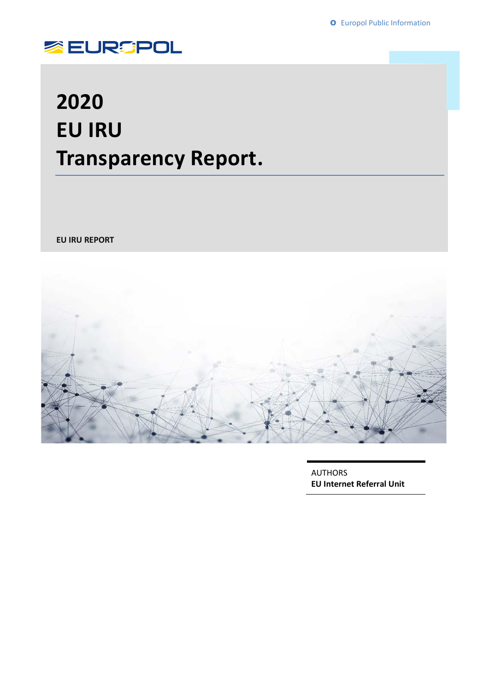

### **2020 EU IRU Transparency Report.**

**EU IRU REPORT**



AUTHORS **EU Internet Referral Unit**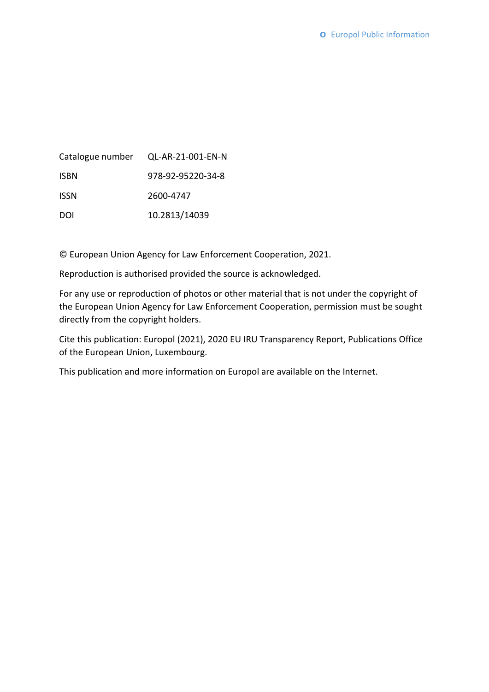|             | Catalogue number QL-AR-21-001-EN-N |
|-------------|------------------------------------|
| <b>ISBN</b> | 978-92-95220-34-8                  |
| <b>ISSN</b> | 2600-4747                          |
| DOI         | 10.2813/14039                      |

© European Union Agency for Law Enforcement Cooperation, 2021.

Reproduction is authorised provided the source is acknowledged.

For any use or reproduction of photos or other material that is not under the copyright of the European Union Agency for Law Enforcement Cooperation, permission must be sought directly from the copyright holders.

Cite this publication: Europol (2021), 2020 EU IRU Transparency Report, Publications Office of the European Union, Luxembourg.

This publication and more information on Europol are available on the Internet.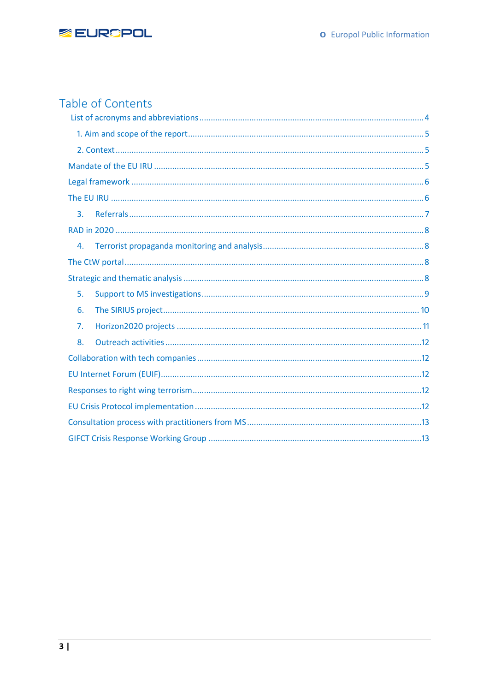

### Table of Contents

| 3. |  |
|----|--|
|    |  |
| 4. |  |
|    |  |
|    |  |
| 5. |  |
| 6. |  |
| 7. |  |
| 8. |  |
|    |  |
|    |  |
|    |  |
|    |  |
|    |  |
|    |  |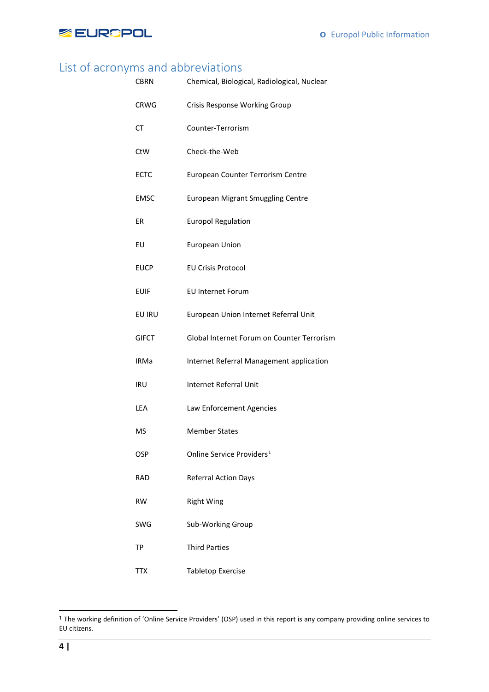

### <span id="page-3-0"></span>List of acronyms and abbreviations

| <b>CBRN</b>  | Chemical, Biological, Radiological, Nuclear |
|--------------|---------------------------------------------|
| CRWG         | Crisis Response Working Group               |
| CT           | Counter-Terrorism                           |
| CtW          | Check-the-Web                               |
| <b>ECTC</b>  | European Counter Terrorism Centre           |
| <b>EMSC</b>  | <b>European Migrant Smuggling Centre</b>    |
| ER           | <b>Europol Regulation</b>                   |
| EU           | <b>European Union</b>                       |
| <b>EUCP</b>  | <b>EU Crisis Protocol</b>                   |
| <b>EUIF</b>  | <b>EU Internet Forum</b>                    |
| EU IRU       | European Union Internet Referral Unit       |
| <b>GIFCT</b> | Global Internet Forum on Counter Terrorism  |
| <b>IRMa</b>  | Internet Referral Management application    |
| IRU          | <b>Internet Referral Unit</b>               |
| LEA          | Law Enforcement Agencies                    |
| <b>MS</b>    | <b>Member States</b>                        |
| <b>OSP</b>   | Online Service Providers <sup>1</sup>       |
| <b>RAD</b>   | <b>Referral Action Days</b>                 |
| <b>RW</b>    | <b>Right Wing</b>                           |
| SWG          | Sub-Working Group                           |
| <b>TP</b>    | <b>Third Parties</b>                        |
| TTX          | <b>Tabletop Exercise</b>                    |

 $\overline{a}$ 

<span id="page-3-1"></span><sup>&</sup>lt;sup>1</sup> The working definition of 'Online Service Providers' (OSP) used in this report is any company providing online services to EU citizens.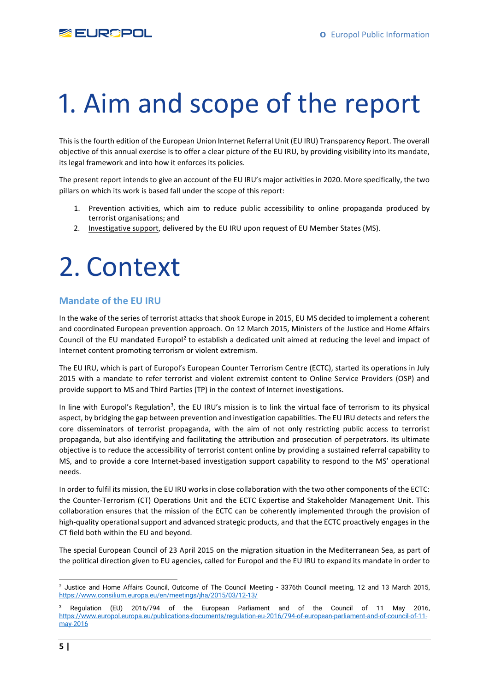

# <span id="page-4-0"></span>1. Aim and scope of the report

This is the fourth edition of the European Union Internet Referral Unit (EU IRU) Transparency Report. The overall objective of this annual exercise is to offer a clear picture of the EU IRU, by providing visibility into its mandate, its legal framework and into how it enforces its policies.

The present report intends to give an account of the EU IRU's major activities in 2020. More specifically, the two pillars on which its work is based fall under the scope of this report:

- 1. Prevention activities, which aim to reduce public accessibility to online propaganda produced by terrorist organisations; and
- 2. Investigative support, delivered by the EU IRU upon request of EU Member States (MS).

## <span id="page-4-1"></span>2. Context

#### <span id="page-4-2"></span>**Mandate of the EU IRU**

In the wake of the series of terrorist attacks that shook Europe in 2015, EU MS decided to implement a coherent and coordinated European prevention approach. On 12 March 2015, Ministers of the Justice and Home Affairs Council of the EU mandated Europol<sup>[2](#page-4-3)</sup> to establish a dedicated unit aimed at reducing the level and impact of Internet content promoting terrorism or violent extremism.

The EU IRU, which is part of Europol's European Counter Terrorism Centre (ECTC), started its operations in July 2015 with a mandate to refer terrorist and violent extremist content to Online Service Providers (OSP) and provide support to MS and Third Parties (TP) in the context of Internet investigations.

In line with Europol's Regulation<sup>[3](#page-4-4)</sup>, the EU IRU's mission is to link the virtual face of terrorism to its physical aspect, by bridging the gap between prevention and investigation capabilities. The EU IRU detects and refers the core disseminators of terrorist propaganda, with the aim of not only restricting public access to terrorist propaganda, but also identifying and facilitating the attribution and prosecution of perpetrators. Its ultimate objective is to reduce the accessibility of terrorist content online by providing a sustained referral capability to MS, and to provide a core Internet-based investigation support capability to respond to the MS' operational needs.

In order to fulfil its mission, the EU IRU works in close collaboration with the two other components of the ECTC: the Counter-Terrorism (CT) Operations Unit and the ECTC Expertise and Stakeholder Management Unit. This collaboration ensures that the mission of the ECTC can be coherently implemented through the provision of high-quality operational support and advanced strategic products, and that the ECTC proactively engages in the CT field both within the EU and beyond.

The special European Council of 23 April 2015 on the migration situation in the Mediterranean Sea, as part of the political direction given to EU agencies, called for Europol and the EU IRU to expand its mandate in order to

<span id="page-4-3"></span>**<sup>.</sup>** <sup>2</sup> Justice and Home Affairs Council, Outcome of The Council Meeting - 3376th Council meeting, 12 and 13 March 2015, <https://www.consilium.europa.eu/en/meetings/jha/2015/03/12-13/>

<span id="page-4-4"></span><sup>3</sup> Regulation (EU) 2016/794 of the European Parliament and of the Council of 11 May 2016, [https://www.europol.europa.eu/publications-documents/regulation-eu-2016/794-of-european-parliament-and-of-council-of-11](https://www.europol.europa.eu/publications-documents/regulation-eu-2016/794-of-european-parliament-and-of-council-of-11-may-2016) [may-2016](https://www.europol.europa.eu/publications-documents/regulation-eu-2016/794-of-european-parliament-and-of-council-of-11-may-2016)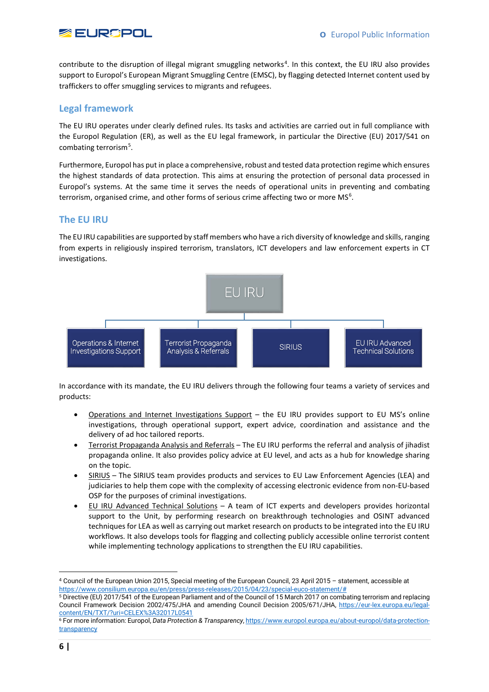

contribute to the disruption of illegal migrant smuggling networks<sup>[4](#page-5-2)</sup>. In this context, the EU IRU also provides support to Europol's European Migrant Smuggling Centre (EMSC), by flagging detected Internet content used by traffickers to offer smuggling services to migrants and refugees.

#### <span id="page-5-0"></span>**Legal framework**

The EU IRU operates under clearly defined rules. Its tasks and activities are carried out in full compliance with the Europol Regulation (ER), as well as the EU legal framework, in particular the Directive (EU) 2017/541 on combating terrorism<sup>[5](#page-5-3)</sup>.

Furthermore, Europol has put in place a comprehensive, robust and tested data protection regime which ensures the highest standards of data protection. This aims at ensuring the protection of personal data processed in Europol's systems. At the same time it serves the needs of operational units in preventing and combating terrorism, organised crime, and other forms of serious crime affecting two or more MS<sup>[6](#page-5-4)</sup>.

#### <span id="page-5-1"></span>**The EU IRU**

The EU IRU capabilities are supported by staff members who have a rich diversity of knowledge and skills, ranging from experts in religiously inspired terrorism, translators, ICT developers and law enforcement experts in CT investigations.



In accordance with its mandate, the EU IRU delivers through the following four teams a variety of services and products:

- Operations and Internet Investigations Support the EU IRU provides support to EU MS's online investigations, through operational support, expert advice, coordination and assistance and the delivery of ad hoc tailored reports.
- Terrorist Propaganda Analysis and Referrals The EU IRU performs the referral and analysis of jihadist propaganda online. It also provides policy advice at EU level, and acts as a hub for knowledge sharing on the topic.
- SIRIUS The SIRIUS team provides products and services to EU Law Enforcement Agencies (LEA) and judiciaries to help them cope with the complexity of accessing electronic evidence from non-EU-based OSP for the purposes of criminal investigations.
- EU IRU Advanced Technical Solutions A team of ICT experts and developers provides horizontal support to the Unit, by performing research on breakthrough technologies and OSINT advanced techniques for LEA as well as carrying out market research on products to be integrated into the EU IRU workflows. It also develops tools for flagging and collecting publicly accessible online terrorist content while implementing technology applications to strengthen the EU IRU capabilities.

<span id="page-5-2"></span> <sup>4</sup> Council of the European Union 2015, Special meeting of the European Council, 23 April 2015 – statement, accessible at https://www.consilium.europa.eu/en/press/press-releases/2015/04/23/special-euco-statement/#

<span id="page-5-3"></span><sup>5</sup> Directive (EU) 2017/541 of the European Parliament and of the Council of 15 March 2017 on combating terrorism and replacing Council Framework Decision 2002/475/JHA and amending Council Decision 2005/671/JHA, [https://eur-lex.europa.eu/legal](https://eur-lex.europa.eu/legal-content/EN/TXT/?uri=CELEX%3A32017L0541)[content/EN/TXT/?uri=CELEX%3A32017L0541](https://eur-lex.europa.eu/legal-content/EN/TXT/?uri=CELEX%3A32017L0541)

<span id="page-5-4"></span><sup>6</sup> For more information: Europol, *Data Protection & Transparency*[, https://www.europol.europa.eu/about-europol/data-protection](https://www.europol.europa.eu/about-europol/data-protection-transparency)[transparency](https://www.europol.europa.eu/about-europol/data-protection-transparency)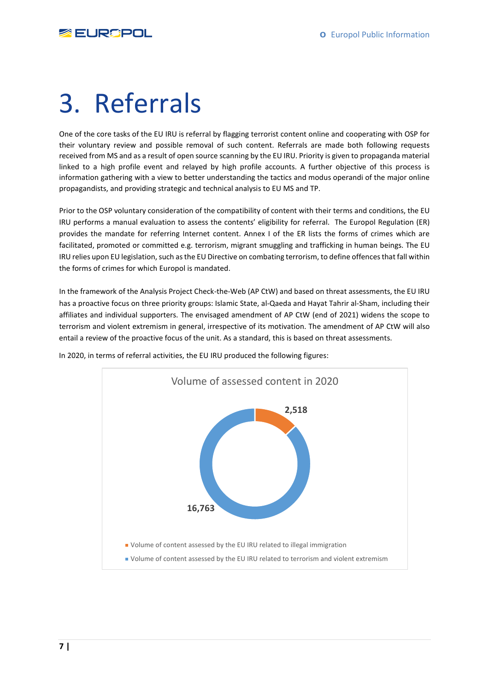

# <span id="page-6-0"></span>3. Referrals

One of the core tasks of the EU IRU is referral by flagging terrorist content online and cooperating with OSP for their voluntary review and possible removal of such content. Referrals are made both following requests received from MS and as a result of open source scanning by the EU IRU. Priority is given to propaganda material linked to a high profile event and relayed by high profile accounts. A further objective of this process is information gathering with a view to better understanding the tactics and modus operandi of the major online propagandists, and providing strategic and technical analysis to EU MS and TP.

Prior to the OSP voluntary consideration of the compatibility of content with their terms and conditions, the EU IRU performs a manual evaluation to assess the contents' eligibility for referral. The Europol Regulation (ER) provides the mandate for referring Internet content. Annex I of the ER lists the forms of crimes which are facilitated, promoted or committed e.g. terrorism, migrant smuggling and trafficking in human beings. The EU IRU relies upon EU legislation, such as the EU Directive on combating terrorism, to define offences that fall within the forms of crimes for which Europol is mandated.

In the framework of the Analysis Project Check-the-Web (AP CtW) and based on threat assessments, the EU IRU has a proactive focus on three priority groups: Islamic State, al-Qaeda and Hayat Tahrir al-Sham, including their affiliates and individual supporters. The envisaged amendment of AP CtW (end of 2021) widens the scope to terrorism and violent extremism in general, irrespective of its motivation. The amendment of AP CtW will also entail a review of the proactive focus of the unit. As a standard, this is based on threat assessments.



In 2020, in terms of referral activities, the EU IRU produced the following figures: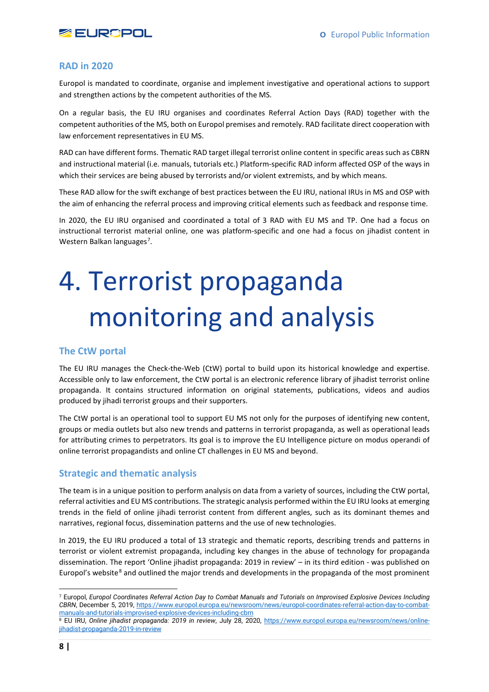

#### <span id="page-7-0"></span>**RAD in 2020**

Europol is mandated to coordinate, organise and implement investigative and operational actions to support and strengthen actions by the competent authorities of the MS.

On a regular basis, the EU IRU organises and coordinates Referral Action Days (RAD) together with the competent authorities of the MS, both on Europol premises and remotely. RAD facilitate direct cooperation with law enforcement representatives in EU MS.

RAD can have different forms. Thematic RAD target illegal terrorist online content in specific areas such as CBRN and instructional material (i.e. manuals, tutorials etc.) Platform-specific RAD inform affected OSP of the ways in which their services are being abused by terrorists and/or violent extremists, and by which means.

These RAD allow for the swift exchange of best practices between the EU IRU, national IRUs in MS and OSP with the aim of enhancing the referral process and improving critical elements such as feedback and response time.

In 2020, the EU IRU organised and coordinated a total of 3 RAD with EU MS and TP. One had a focus on instructional terrorist material online, one was platform-specific and one had a focus on jihadist content in Western Balkan languages<sup>[7](#page-7-4)</sup>.

# <span id="page-7-1"></span>4. Terrorist propaganda monitoring and analysis

#### <span id="page-7-2"></span>**The CtW portal**

The EU IRU manages the Check-the-Web (CtW) portal to build upon its historical knowledge and expertise. Accessible only to law enforcement, the CtW portal is an electronic reference library of jihadist terrorist online propaganda. It contains structured information on original statements, publications, videos and audios produced by jihadi terrorist groups and their supporters.

The CtW portal is an operational tool to support EU MS not only for the purposes of identifying new content, groups or media outlets but also new trends and patterns in terrorist propaganda, as well as operational leads for attributing crimes to perpetrators. Its goal is to improve the EU Intelligence picture on modus operandi of online terrorist propagandists and online CT challenges in EU MS and beyond.

#### <span id="page-7-3"></span>**Strategic and thematic analysis**

The team is in a unique position to perform analysis on data from a variety of sources, including the CtW portal, referral activities and EU MS contributions. The strategic analysis performed within the EU IRU looks at emerging trends in the field of online jihadi terrorist content from different angles, such as its dominant themes and narratives, regional focus, dissemination patterns and the use of new technologies.

In 2019, the EU IRU produced a total of 13 strategic and thematic reports, describing trends and patterns in terrorist or violent extremist propaganda, including key changes in the abuse of technology for propaganda dissemination. The report 'Online jihadist propaganda: 2019 in review' – in its third edition - was published on Europol's website<sup>[8](#page-7-5)</sup> and outlined the major trends and developments in the propaganda of the most prominent

<span id="page-7-4"></span>**<sup>.</sup>** <sup>7</sup> Europol, *Europol Coordinates Referral Action Day to Combat Manuals and Tutorials on Improvised Explosive Devices Including CBRN*, December 5, 2019, [https://www.europol.europa.eu/newsroom/news/europol-coordinates-referral-action-day-to-combat](https://www.europol.europa.eu/newsroom/news/europol-coordinates-referral-action-day-to-combat-manuals-and-tutorials-improvised-explosive-devices-including-cbrn)[manuals-and-tutorials-improvised-explosive-devices-including-cbrn](https://www.europol.europa.eu/newsroom/news/europol-coordinates-referral-action-day-to-combat-manuals-and-tutorials-improvised-explosive-devices-including-cbrn)

<span id="page-7-5"></span><sup>8</sup> EU IRU, *Online jihadist propaganda: 2019 in review*, July 28, 2020, [https://www.europol.europa.eu/newsroom/news/online](https://www.europol.europa.eu/newsroom/news/online-jihadist-propaganda-2019-in-review)[jihadist-propaganda-2019-in-review](https://www.europol.europa.eu/newsroom/news/online-jihadist-propaganda-2019-in-review)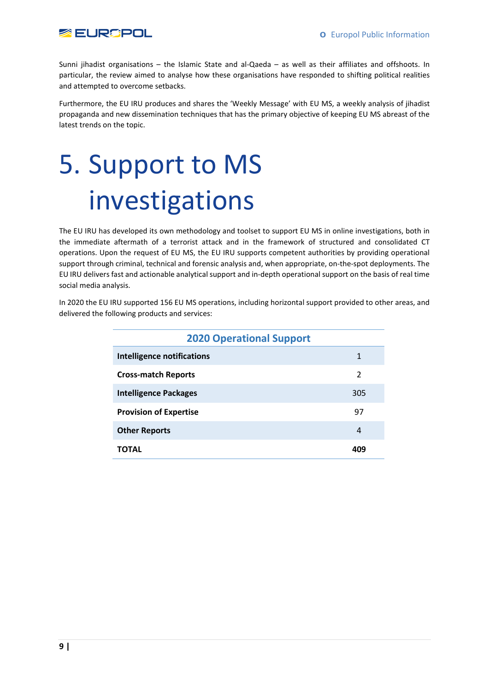

Sunni jihadist organisations – the Islamic State and al-Qaeda – as well as their affiliates and offshoots. In particular, the review aimed to analyse how these organisations have responded to shifting political realities and attempted to overcome setbacks.

Furthermore, the EU IRU produces and shares the 'Weekly Message' with EU MS, a weekly analysis of jihadist propaganda and new dissemination techniques that has the primary objective of keeping EU MS abreast of the latest trends on the topic.

# <span id="page-8-0"></span>5. Support to MS investigations

The EU IRU has developed its own methodology and toolset to support EU MS in online investigations, both in the immediate aftermath of a terrorist attack and in the framework of structured and consolidated CT operations. Upon the request of EU MS, the EU IRU supports competent authorities by providing operational support through criminal, technical and forensic analysis and, when appropriate, on-the-spot deployments. The EU IRU delivers fast and actionable analytical support and in-depth operational support on the basis of real time social media analysis.

In 2020 the EU IRU supported 156 EU MS operations, including horizontal support provided to other areas, and delivered the following products and services:

| <b>2020 Operational Support</b>   |     |  |
|-----------------------------------|-----|--|
| <b>Intelligence notifications</b> | 1   |  |
| <b>Cross-match Reports</b>        | 2   |  |
| <b>Intelligence Packages</b>      | 305 |  |
| <b>Provision of Expertise</b>     | 97  |  |
| <b>Other Reports</b>              | 4   |  |
| ΤΟΤΑL                             |     |  |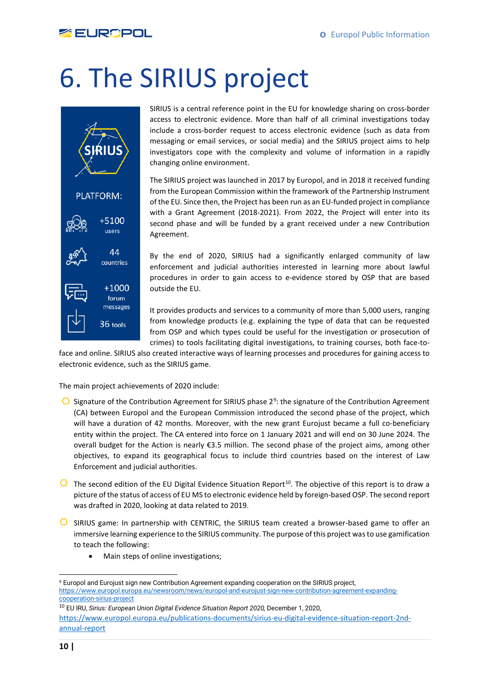

# <span id="page-9-0"></span>6. The SIRIUS project



SIRIUS is a central reference point in the EU for knowledge sharing on cross-border access to electronic evidence. More than half of all criminal investigations today include a cross-border request to access electronic evidence (such as data from messaging or email services, or social media) and the SIRIUS project aims to help investigators cope with the complexity and volume of information in a rapidly changing online environment.

The SIRIUS project was launched in 2017 by Europol, and in 2018 it received funding from the European Commission within the framework of the Partnership Instrument of the EU. Since then, the Project has been run as an EU-funded project in compliance with a Grant Agreement (2018-2021). From 2022, the Project will enter into its second phase and will be funded by a grant received under a new Contribution Agreement.

By the end of 2020, SIRIUS had a significantly enlarged community of law enforcement and judicial authorities interested in learning more about lawful procedures in order to gain access to e-evidence stored by OSP that are based outside the EU.

It provides products and services to a community of more than 5,000 users, ranging from knowledge products (e.g. explaining the type of data that can be requested from OSP and which types could be useful for the investigation or prosecution of crimes) to tools facilitating digital investigations, to training courses, both face-to-

face and online. SIRIUS also created interactive ways of learning processes and procedures for gaining access to electronic evidence, such as the SIRIUS game.

The main project achievements of 2020 include:

- Signature of the Contribution Agreement for SIRIUS phase 2<sup>[9](#page-9-1)</sup>: the signature of the Contribution Agreement (CA) between Europol and the European Commission introduced the second phase of the project, which will have a duration of 42 months. Moreover, with the new grant Eurojust became a full co-beneficiary entity within the project. The CA entered into force on 1 January 2021 and will end on 30 June 2024. The overall budget for the Action is nearly €3.5 million. The second phase of the project aims, among other objectives, to expand its geographical focus to include third countries based on the interest of Law Enforcement and judicial authorities.
- $\Box$  The second edition of the EU Digital Evidence Situation Report<sup>[10](#page-9-2)</sup>. The objective of this report is to draw a picture of the status of access of EU MS to electronic evidence held by foreign-based OSP. The second report was drafted in 2020, looking at data related to 2019.
- $\Box$  SIRIUS game: In partnership with CENTRIC, the SIRIUS team created a browser-based game to offer an immersive learning experience to the SIRIUS community. The purpose of this project was to use gamification to teach the following:
	- Main steps of online investigations;

 $\overline{a}$ 

<span id="page-9-1"></span><sup>&</sup>lt;sup>9</sup> Europol and Eurojust sign new Contribution Agreement expanding cooperation on the SIRIUS project, [https://www.europol.europa.eu/newsroom/news/europol-and-eurojust-sign-new-contribution-agreement-expanding](https://www.europol.europa.eu/newsroom/news/europol-and-eurojust-sign-new-contribution-agreement-expanding-cooperation-sirius-project)[cooperation-sirius-project](https://www.europol.europa.eu/newsroom/news/europol-and-eurojust-sign-new-contribution-agreement-expanding-cooperation-sirius-project)

<span id="page-9-2"></span><sup>10</sup> EU IRU, *Sirius: European Union Digital Evidence Situation Report 2020,* December 1, 2020, [https://www.europol.europa.eu/publications-documents/sirius-eu-digital-evidence-situation-report-2nd](https://www.europol.europa.eu/publications-documents/sirius-eu-digital-evidence-situation-report-2nd-annual-report)[annual-report](https://www.europol.europa.eu/publications-documents/sirius-eu-digital-evidence-situation-report-2nd-annual-report)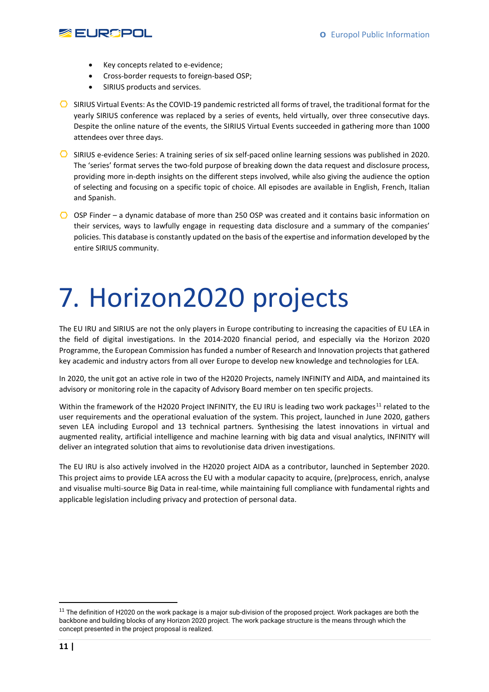

- Key concepts related to e-evidence;
- Cross-border requests to foreign-based OSP;
- SIRIUS products and services.
- $\bullet$  SIRIUS Virtual Events: As the COVID-19 pandemic restricted all forms of travel, the traditional format for the yearly SIRIUS conference was replaced by a series of events, held virtually, over three consecutive days. Despite the online nature of the events, the SIRIUS Virtual Events succeeded in gathering more than 1000 attendees over three days.
- $\Box$  SIRIUS e-evidence Series: A training series of six self-paced online learning sessions was published in 2020. The 'series' format serves the two-fold purpose of breaking down the data request and disclosure process, providing more in-depth insights on the different steps involved, while also giving the audience the option of selecting and focusing on a specific topic of choice. All episodes are available in English, French, Italian and Spanish.
- $\bigcirc$  OSP Finder a dynamic database of more than 250 OSP was created and it contains basic information on their services, ways to lawfully engage in requesting data disclosure and a summary of the companies' policies. This database is constantly updated on the basis of the expertise and information developed by the entire SIRIUS community.

# <span id="page-10-0"></span>7. Horizon2020 projects

The EU IRU and SIRIUS are not the only players in Europe contributing to increasing the capacities of EU LEA in the field of digital investigations. In the 2014-2020 financial period, and especially via the Horizon 2020 Programme, the European Commission has funded a number of Research and Innovation projects that gathered key academic and industry actors from all over Europe to develop new knowledge and technologies for LEA.

In 2020, the unit got an active role in two of the H2020 Projects, namely INFINITY and AIDA, and maintained its advisory or monitoring role in the capacity of Advisory Board member on ten specific projects.

Within the framework of the H2020 Project INFINITY, the EU IRU is leading two work packages<sup>[11](#page-10-1)</sup> related to the user requirements and the operational evaluation of the system. This project, launched in June 2020, gathers seven LEA including Europol and 13 technical partners. Synthesising the latest innovations in virtual and augmented reality, artificial intelligence and machine learning with big data and visual analytics, INFINITY will deliver an integrated solution that aims to revolutionise data driven investigations.

The EU IRU is also actively involved in the H2020 project AIDA as a contributor, launched in September 2020. This project aims to provide LEA across the EU with a modular capacity to acquire, (pre)process, enrich, analyse and visualise multi-source Big Data in real-time, while maintaining full compliance with fundamental rights and applicable legislation including privacy and protection of personal data.

<span id="page-10-1"></span> $11$  The definition of H2020 on the work package is a major sub-division of the proposed project. Work packages are both the backbone and building blocks of any Horizon 2020 project. The work package structure is the means through which the concept presented in the project proposal is realized.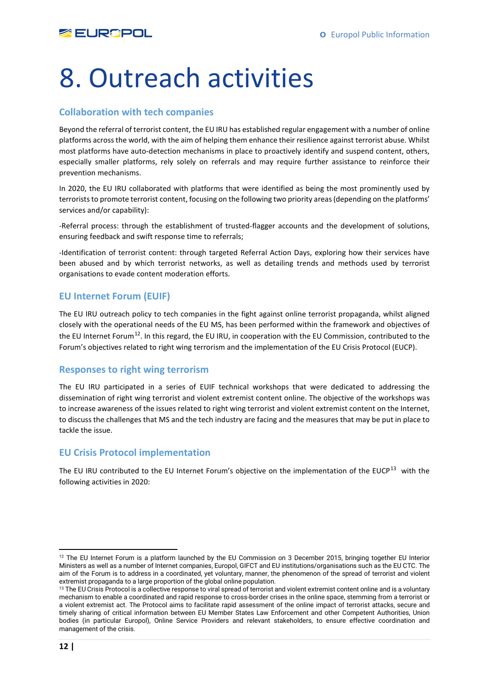# <span id="page-11-0"></span>8. Outreach activities

#### <span id="page-11-1"></span>**Collaboration with tech companies**

Beyond the referral of terrorist content, the EU IRU has established regular engagement with a number of online platforms across the world, with the aim of helping them enhance their resilience against terrorist abuse. Whilst most platforms have auto-detection mechanisms in place to proactively identify and suspend content, others, especially smaller platforms, rely solely on referrals and may require further assistance to reinforce their prevention mechanisms.

In 2020, the EU IRU collaborated with platforms that were identified as being the most prominently used by terrorists to promote terrorist content, focusing on the following two priority areas (depending on the platforms' services and/or capability):

-Referral process: through the establishment of trusted-flagger accounts and the development of solutions, ensuring feedback and swift response time to referrals;

-Identification of terrorist content: through targeted Referral Action Days, exploring how their services have been abused and by which terrorist networks, as well as detailing trends and methods used by terrorist organisations to evade content moderation efforts.

#### <span id="page-11-2"></span>**EU Internet Forum (EUIF)**

The EU IRU outreach policy to tech companies in the fight against online terrorist propaganda, whilst aligned closely with the operational needs of the EU MS, has been performed within the framework and objectives of the EU Internet Forum<sup>12</sup>. In this regard, the EU IRU, in cooperation with the EU Commission, contributed to the Forum's objectives related to right wing terrorism and the implementation of the EU Crisis Protocol (EUCP).

#### <span id="page-11-3"></span>**Responses to right wing terrorism**

The EU IRU participated in a series of EUIF technical workshops that were dedicated to addressing the dissemination of right wing terrorist and violent extremist content online. The objective of the workshops was to increase awareness of the issues related to right wing terrorist and violent extremist content on the Internet, to discuss the challenges that MS and the tech industry are facing and the measures that may be put in place to tackle the issue.

#### <span id="page-11-4"></span>**EU Crisis Protocol implementation**

The EU IRU contributed to the EU Internet Forum's objective on the implementation of the EUCP<sup>13</sup> with the following activities in 2020:

**.** 

<span id="page-11-5"></span><sup>&</sup>lt;sup>12</sup> The EU Internet Forum is a platform launched by the EU Commission on 3 December 2015, bringing together EU Interior Ministers as well as a number of Internet companies, Europol, GIFCT and EU institutions/organisations such as the EU CTC. The aim of the Forum is to address in a coordinated, yet voluntary, manner, the phenomenon of the spread of terrorist and violent extremist propaganda to a large proportion of the global online population.

<span id="page-11-6"></span><sup>&</sup>lt;sup>13</sup> The EU Crisis Protocol is a collective response to viral spread of terrorist and violent extremist content online and is a voluntary mechanism to enable a coordinated and rapid response to cross-border crises in the online space, stemming from a terrorist or a violent extremist act. The Protocol aims to facilitate rapid assessment of the online impact of terrorist attacks, secure and timely sharing of critical information between EU Member States Law Enforcement and other Competent Authorities, Union bodies (in particular Europol), Online Service Providers and relevant stakeholders, to ensure effective coordination and management of the crisis.